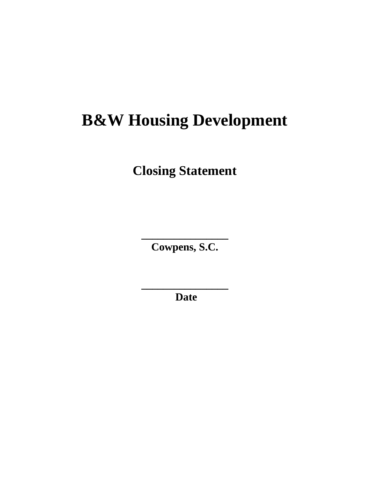# **B&W Housing Development**

**Closing Statement**

**Cowpens, S.C.** 

**\_\_\_\_\_\_\_\_\_\_\_\_\_\_\_\_**

**Date** 

**\_\_\_\_\_\_\_\_\_\_\_\_\_\_\_\_**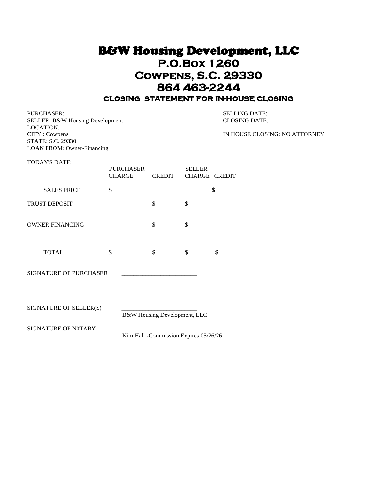### B&W Housing Development, LLC **P.O.Box 1260 Cowpens, S.C. 29330 864 463-2244 closing statement for in-house closing**

PURCHASER: SELLING DATE: SELLER: B&W Housing Development CLOSING DATE: LOCATION: CITY : Cowpens IN HOUSE CLOSING: NO ATTORNEY STATE: S.C. 29330

TODAY'S DATE:

LOAN FROM: Owner-Financing

|                        | <b>PURCHASER</b><br><b>CHARGE</b> | <b>CREDIT</b> | <b>SELLER</b><br><b>CHARGE CREDIT</b> |    |
|------------------------|-----------------------------------|---------------|---------------------------------------|----|
| <b>SALES PRICE</b>     | \$                                |               |                                       | \$ |
| TRUST DEPOSIT          |                                   | \$            | \$                                    |    |
| <b>OWNER FINANCING</b> |                                   | \$            | \$                                    |    |
| <b>TOTAL</b>           | \$                                | \$            | \$                                    | \$ |

SIGNATURE OF PURCHASER

SIGNATURE OF SELLER(S)

B&W Housing Development, LLC

SIGNATURE OF N0TARY

Kim Hall -Commission Expires 05/26/26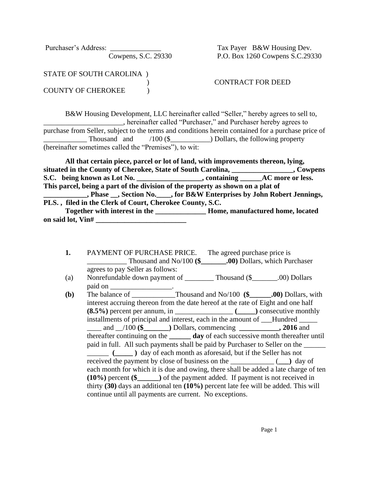Purchaser's Address: \_\_\_\_\_\_\_\_\_\_\_\_\_\_ Tax Payer B&W Housing Dev.

Cowpens, S.C. 29330 P.O. Box 1260 Cowpens S.C.29330

STATE OF SOUTH CAROLINA )

COUNTY OF CHEROKEE  $\qquad$ 

) CONTRACT FOR DEED

B&W Housing Development, LLC hereinafter called "Seller," hereby agrees to sell to, **\_\_\_\_\_\_\_\_\_\_\_\_**, hereinafter called "Purchaser," and Purchaser hereby agrees to purchase from Seller, subject to the terms and conditions herein contained for a purchase price of Thousand and /100 (\$\_\_\_\_\_\_\_\_\_\_\_\_) Dollars, the following property (hereinafter sometimes called the "Premises"), to wit:

 **All that certain piece, parcel or lot of land, with improvements thereon, lying, situated in the County of Cherokee, State of South Carolina, \_\_\_\_\_\_\_\_\_\_\_\_\_\_\_\_\_, Cowpens** S.C. being known as Lot No. \_\_\_\_\_\_\_\_\_\_\_\_\_\_\_\_, containing \_\_\_\_\_AC more or less. **This parcel, being a part of the division of the property as shown on a plat of \_\_\_\_\_\_\_\_\_\_\_\_, Phase \_\_, Section No.\_\_\_\_, for B&W Enterprises by John Robert Jennings, PLS. , filed in the Clerk of Court, Cherokee County, S.C. Together with interest in the \_\_\_\_\_\_\_\_\_\_\_\_\_\_ Home, manufactured home, located**  on said lot, Vin#

- **1.** PAYMENT OF PURCHASE PRICE. The agreed purchase price is \_\_\_\_\_\_\_\_\_\_\_ Thousand and No/100 **(\$\_\_\_\_\_\_\_.00)** Dollars, which Purchaser agrees to pay Seller as follows:
- (a) Nonrefundable down payment of \_\_\_\_\_\_\_\_\_\_ Thousand  $(\$$  \_\_\_\_\_\_.00) Dollars paid on \_\_\_\_\_\_\_\_\_\_\_\_\_\_\_\_\_.

**(b)** The balance of \_\_\_\_\_\_\_\_\_\_\_\_Thousand and No/100 **(\$\_\_\_\_\_\_.00)** Dollars, with interest accruing thereon from the date hereof at the rate of Eight and one half **(8.5%)** percent per annum, in \_\_\_\_\_\_\_\_\_\_\_\_\_\_\_\_ **(\_\_\_\_\_)** consecutive monthly installments of principal and interest, each in the amount of \_\_\_Hundred \_\_\_\_\_\_ \_\_\_\_ and \_\_/100 **(\$\_\_\_\_\_\_\_)** Dollars, commencing **\_\_\_\_\_\_\_\_\_\_\_, 2016** and thereafter continuing on the **\_\_\_\_\_\_ day** of each successive month thereafter until paid in full. All such payments shall be paid by Purchaser to Seller on the \_\_\_\_\_\_ \_\_\_\_\_\_ **(\_\_\_\_\_ )** day of each month as aforesaid, but if the Seller has not received the payment by close of business on the \_\_\_\_\_\_\_\_\_\_\_\_ (**\_\_\_)** day of each month for which it is due and owing, there shall be added a late charge of ten **(10%)** percent **(\$\_\_\_\_\_\_)** of the payment added. If payment is not received in thirty **(30)** days an additional ten **(10%)** percent late fee will be added. This will continue until all payments are current. No exceptions.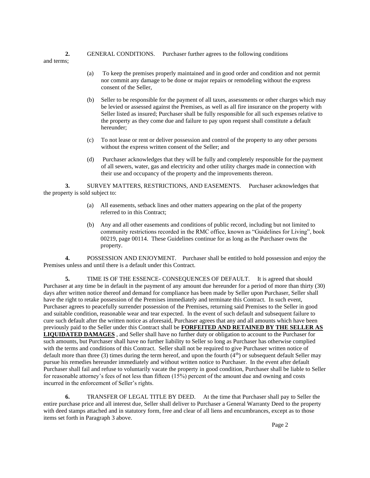#### **2.** GENERAL CONDITIONS. Purchaser further agrees to the following conditions

and terms;

- (a) To keep the premises properly maintained and in good order and condition and not permit nor commit any damage to be done or major repairs or remodeling without the express consent of the Seller,
- (b) Seller to be responsible for the payment of all taxes, assessments or other charges which may be levied or assessed against the Premises, as well as all fire insurance on the property with Seller listed as insured; Purchaser shall be fully responsible for all such expenses relative to the property as they come due and failure to pay upon request shall constitute a default hereunder;
- (c) To not lease or rent or deliver possession and control of the property to any other persons without the express written consent of the Seller; and
- (d) Purchaser acknowledges that they will be fully and completely responsible for the payment of all sewers, water, gas and electricity and other utility charges made in connection with their use and occupancy of the property and the improvements thereon.

**3.** SURVEY MATTERS, RESTRICTIONS, AND EASEMENTS. Purchaser acknowledges that the property is sold subject to:

- (a) All easements, setback lines and other matters appearing on the plat of the property referred to in this Contract;
- (b) Any and all other easements and conditions of public record, including but not limited to community restrictions recorded in the RMC office, known as "Guidelines for Living", book 00219, page 00114. These Guidelines continue for as long as the Purchaser owns the property.

**4.** POSSESSION AND ENJOYMENT. Purchaser shall be entitled to hold possession and enjoy the Premises unless and until there is a default under this Contract.

**5.** TIME IS OF THE ESSENCE- CONSEQUENCES OF DEFAULT. It is agreed that should Purchaser at any time be in default in the payment of any amount due hereunder for a period of more than thirty (30) days after written notice thereof and demand for compliance has been made by Seller upon Purchaser, Seller shall have the right to retake possession of the Premises immediately and terminate this Contract. In such event, Purchaser agrees to peacefully surrender possession of the Premises, returning said Premises to the Seller in good and suitable condition, reasonable wear and tear expected. In the event of such default and subsequent failure to cure such default after the written notice as aforesaid, Purchaser agrees that any and all amounts which have been previously paid to the Seller under this Contract shall be **FORFEITED AND RETAINED BY THE SELLER AS LIQUIDATED DAMAGES** , and Seller shall have no further duty or obligation to account to the Purchaser for such amounts, but Purchaser shall have no further liability to Seller so long as Purchaser has otherwise complied with the terms and conditions of this Contract. Seller shall not be required to give Purchaser written notice of default more than three (3) times during the term hereof, and upon the fourth  $(4<sup>th</sup>)$  or subsequent default Seller may pursue his remedies hereunder immediately and without written notice to Purchaser. In the event after default Purchaser shall fail and refuse to voluntarily vacate the property in good condition, Purchaser shall be liable to Seller for reasonable attorney's fees of not less than fifteen (15%) percent of the amount due and owning and costs incurred in the enforcement of Seller's rights.

**6.** TRANSFER OF LEGAL TITLE BY DEED. At the time that Purchaser shall pay to Seller the entire purchase price and all interest due, Seller shall deliver to Purchaser a General Warranty Deed to the property with deed stamps attached and in statutory form, free and clear of all liens and encumbrances, except as to those items set forth in Paragraph 3 above.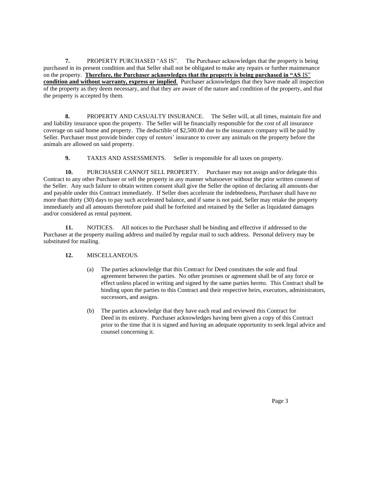**7.** PROPERTY PURCHASED "AS IS". The Purchaser acknowledges that the property is being purchased in its present condition and that Seller shall not be obligated to make any repairs or further maintenance on the property. **Therefore, the Purchaser acknowledges that the property is being purchased in "AS** IS" **condition and without warranty, express or implied**. Purchaser acknowledges that they have made all inspection of the property as they deem necessary, and that they are aware of the nature and condition of the property, and that the property is accepted by them.

**8.** PROPERTY AND CASUALTY INSURANCE. The Seller will, at all times, maintain fire and and liability insurance upon the property. The Seller will be financially responsible for the cost of all insurance coverage on said home and property. The deductible of \$2,500.00 due to the insurance company will be paid by Seller. Purchaser must provide binder copy of renters' insurance to cover any animals on the property before the animals are allowed on said property.

**9.** TAXES AND ASSESSMENTS. Seller is responsible for all taxes on property.

**10.** PURCHASER CANNOT SELL PROPERTY. Purchaser may not assign and/or delegate this Contract to any other Purchaser or sell the property in any manner whatsoever without the prior written consent of the Seller. Any such failure to obtain written consent shall give the Seller the option of declaring all amounts due and payable under this Contract immediately. If Seller does accelerate the indebtedness, Purchaser shall have no more than thirty (30) days to pay such accelerated balance, and if same is not paid, Seller may retake the property immediately and all amounts theretofore paid shall be forfeited and retained by the Seller as liquidated damages and/or considered as rental payment.

**11.** NOTICES. All notices to the Purchaser shall be binding and effective if addressed to the Purchaser at the property mailing address and mailed by regular mail to such address. Personal delivery may be substituted for mailing.

#### **12.** MISCELLANEOUS.

- (a) The parties acknowledge that this Contract for Deed constitutes the sole and final agreement between the parties. No other promises or agreement shall be of any force or effect unless placed in writing and signed by the same parties hereto. This Contract shall be binding upon the parties to this Contract and their respective heirs, executors, administrators, successors, and assigns.
- (b) The parties acknowledge that they have each read and reviewed this Contract for Deed in its entirety. Purchaser acknowledges having been given a copy of this Contract prior to the time that it is signed and having an adequate opportunity to seek legal advice and counsel concerning it.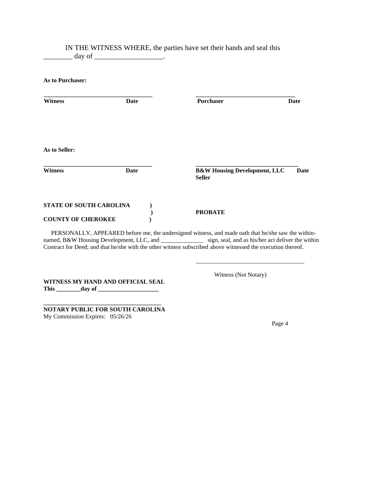### IN THE WITNESS WHERE, the parties have set their hands and seal this  $\Box$  day of  $\Box$

**As to Purchaser:**

| <b>Witness</b>                 | Date | Purchaser                                                | Date |
|--------------------------------|------|----------------------------------------------------------|------|
| As to Seller:                  |      |                                                          |      |
| <b>Witness</b>                 | Date | <b>B&amp;W Housing Development, LLC</b><br><b>Seller</b> | Date |
| <b>STATE OF SOUTH CAROLINA</b> |      |                                                          |      |
| <b>COUNTY OF CHEROKEE</b>      |      | <b>PROBATE</b>                                           |      |

PERSONALLY, APPEARED before me, the undersigned witness, and made oath that he/she saw the withinnamed, B&W Housing Development, LLC, and \_\_\_\_\_\_\_\_\_\_\_\_\_\_\_\_\_\_\_ sign, seal, and as his/her act deliver the within Contract for Deed; and that he/she with the other witness subscribed above witnessed the execution thereof.

 $\frac{1}{2}$  , and the set of the set of the set of the set of the set of the set of the set of the set of the set of the set of the set of the set of the set of the set of the set of the set of the set of the set of the set

**WITNESS MY HAND AND OFFICIAL SEAL This \_\_\_\_\_\_\_\_day of \_\_\_\_\_\_\_\_\_\_\_\_\_\_\_\_\_\_\_\_**

**\_\_\_\_\_\_\_\_\_\_\_\_\_\_\_\_\_\_\_\_\_\_\_\_\_\_\_\_\_\_\_\_\_\_\_\_\_\_\_ NOTARY PUBLIC FOR SOUTH CAROLINA** My Commission Expires: 05/26/26

Witness (Not Notary)

Page 4